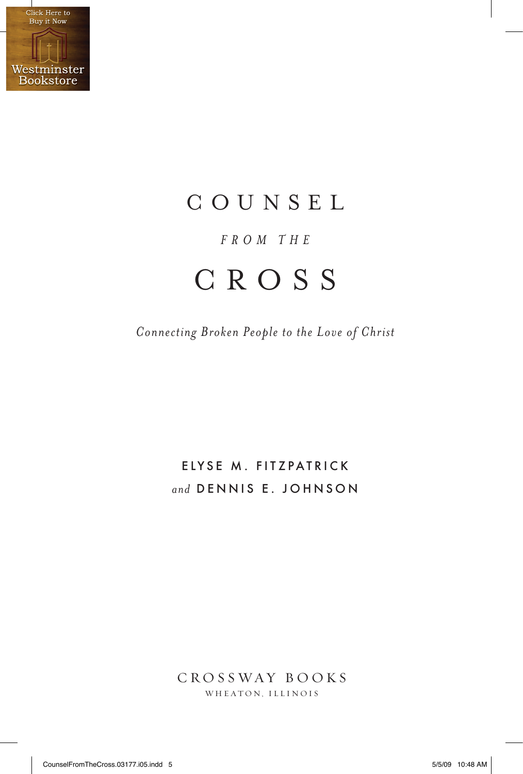

# C O U N S E L

## *F R O M T H E*

# C R O S S

*Connecting Broken People to the Love of Christ*

# ELYSE M. FITZPATRICK and DENNIS E. JOHNSON

## C R O S S W AY B O O K S

WHEATON, ILLINOIS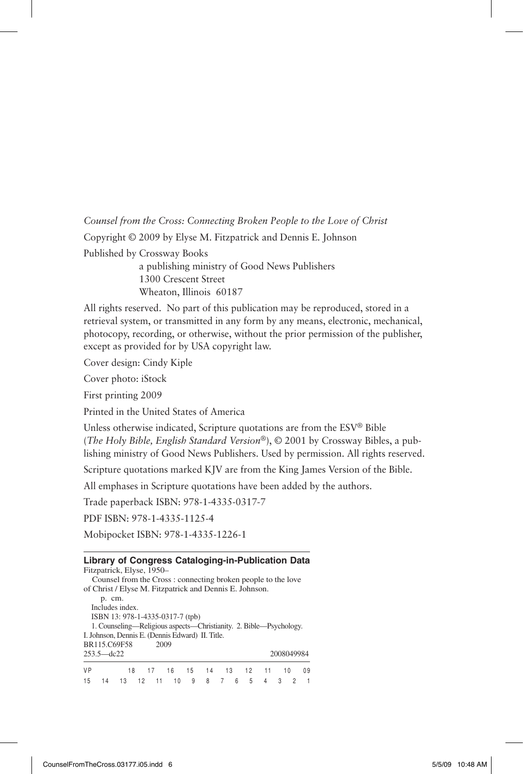*Counsel from the Cross: Connecting Broken People to the Love of Christ*

Copyright © 2009 by Elyse M. Fitzpatrick and Dennis E. Johnson

Published by Crossway Books

a publishing ministry of Good News Publishers 1300 Crescent Street Wheaton, Illinois 60187

All rights reserved. No part of this publication may be reproduced, stored in a retrieval system, or transmitted in any form by any means, electronic, mechanical, photocopy, recording, or otherwise, without the prior permission of the publisher, except as provided for by USA copyright law.

Cover design: Cindy Kiple

Cover photo: iStock

First printing 2009

Printed in the United States of America

Unless otherwise indicated, Scripture quotations are from the ESV® Bible (*The Holy Bible, English Standard Version*®), © 2001 by Crossway Bibles, a publishing ministry of Good News Publishers. Used by permission. All rights reserved.

Scripture quotations marked KJV are from the King James Version of the Bible.

All emphases in Scripture quotations have been added by the authors.

Trade paperback ISBN: 978-1-4335-0317-7

PDF ISBN: 978-1-4335-1125-4

Mobipocket ISBN: 978-1-4335-1226-1

#### **Library of Congress Cataloging-in-Publication Data** Fitzpatrick, Elyse, 1950–

 Counsel from the Cross : connecting broken people to the love of Christ / Elyse M. Fitzpatrick and Dennis E. Johnson. p. cm. Includes index. ISBN 13: 978-1-4335-0317-7 (tpb) 1. Counseling—Religious aspects—Christianity. 2. Bible—Psychology. I. Johnson, Dennis E. (Dennis Edward) II. Title. BR115.C69F58 2009 253.5—dc22 2008049984 VP 18 17 16 15 14 13 12 11 10 09 15 14 13 12 11 10 9 8 7 6 5 4 3 2 1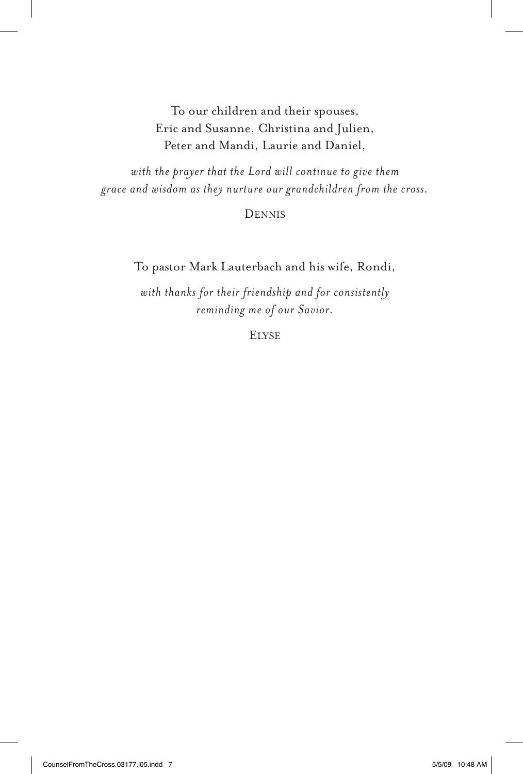To our children and their spouses, Eric and Susanne, Christina and Julien, Peter and Mandi, Laurie and Daniel,

*with the prayer that the Lord will continue to give them grace and wisdom as they nurture our grandchildren from the cross.*

#### **DENNIS**

### To pastor Mark Lauterbach and his wife, Rondi,

*with thanks for their friendship and for consistently reminding me of our Savior.*

Elyse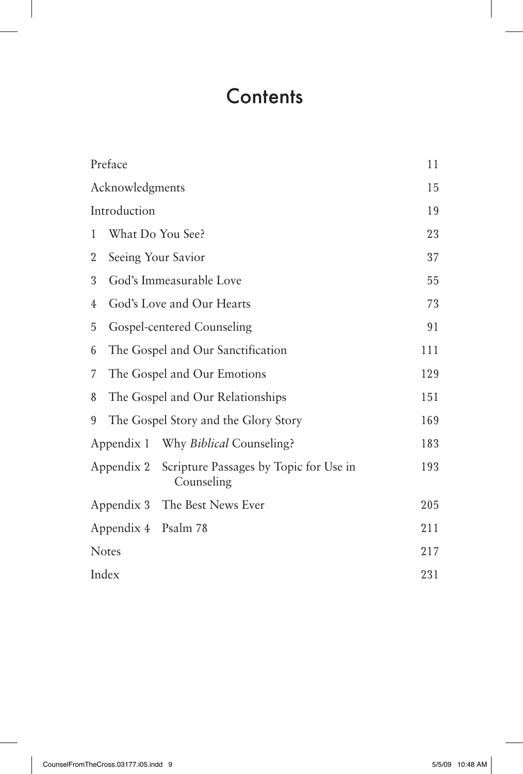# **Contents**

| Preface                                   |                                                                 | 11  |
|-------------------------------------------|-----------------------------------------------------------------|-----|
| Acknowledgments                           |                                                                 | 15  |
| Introduction                              |                                                                 | 19  |
| 1                                         | What Do You See?                                                |     |
| 2                                         | Seeing Your Savior                                              |     |
| 3                                         | God's Immeasurable Love                                         |     |
| 4                                         | God's Love and Our Hearts                                       |     |
| 5                                         | Gospel-centered Counseling                                      |     |
| The Gospel and Our Sanctification<br>6    |                                                                 | 111 |
| 7                                         | The Gospel and Our Emotions                                     |     |
| The Gospel and Our Relationships<br>8     |                                                                 | 151 |
| The Gospel Story and the Glory Story<br>9 |                                                                 | 169 |
|                                           | Appendix 1 Why Biblical Counseling?                             | 183 |
|                                           | Appendix 2 Scripture Passages by Topic for Use in<br>Counseling | 193 |
|                                           | Appendix 3 The Best News Ever                                   | 205 |
|                                           | Appendix 4 Psalm 78                                             | 211 |
| <b>Notes</b>                              |                                                                 | 217 |
| Index                                     |                                                                 | 231 |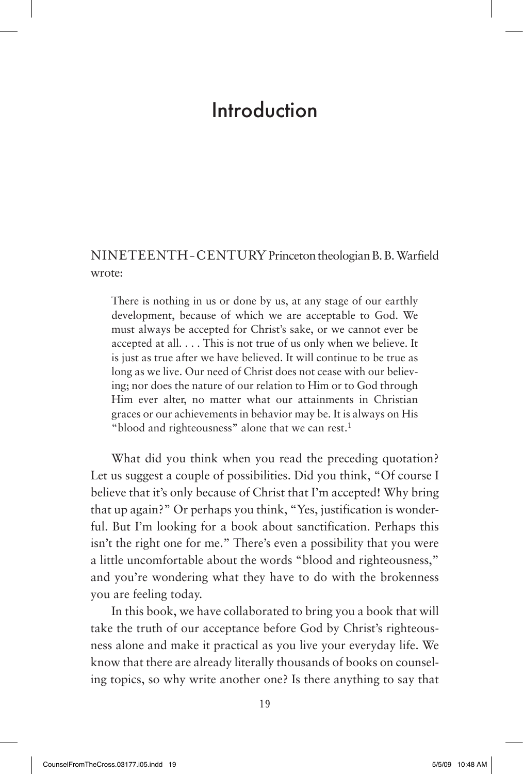# Introduction

## NINETEENTH-CENTURY Princeton theologian B. B. Warfield wrote:

There is nothing in us or done by us, at any stage of our earthly development, because of which we are acceptable to God. We must always be accepted for Christ's sake, or we cannot ever be accepted at all. . . . This is not true of us only when we believe. It is just as true after we have believed. It will continue to be true as long as we live. Our need of Christ does not cease with our believing; nor does the nature of our relation to Him or to God through Him ever alter, no matter what our attainments in Christian graces or our achievements in behavior may be. It is always on His "blood and righteousness" alone that we can rest.<sup>1</sup>

What did you think when you read the preceding quotation? Let us suggest a couple of possibilities. Did you think, "Of course I believe that it's only because of Christ that I'm accepted! Why bring that up again?" Or perhaps you think, "Yes, justification is wonderful. But I'm looking for a book about sanctification. Perhaps this isn't the right one for me." There's even a possibility that you were a little uncomfortable about the words "blood and righteousness," and you're wondering what they have to do with the brokenness you are feeling today.

In this book, we have collaborated to bring you a book that will take the truth of our acceptance before God by Christ's righteousness alone and make it practical as you live your everyday life. We know that there are already literally thousands of books on counseling topics, so why write another one? Is there anything to say that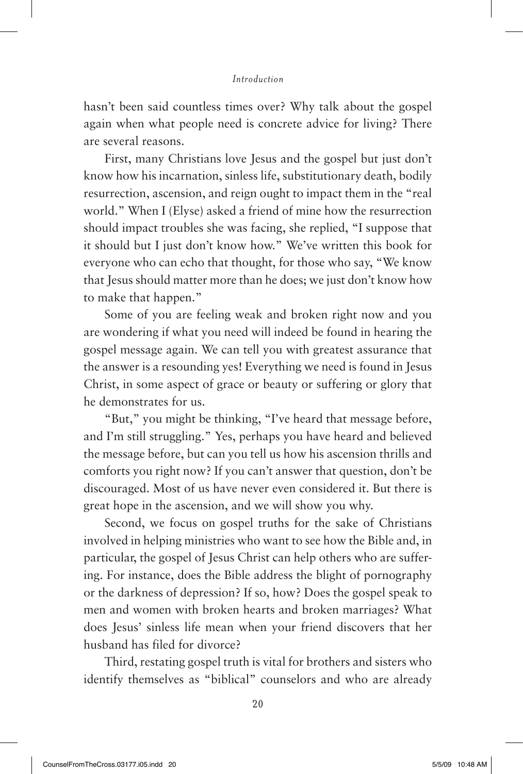#### *Introduction*

hasn't been said countless times over? Why talk about the gospel again when what people need is concrete advice for living? There are several reasons.

First, many Christians love Jesus and the gospel but just don't know how his incarnation, sinless life, substitutionary death, bodily resurrection, ascension, and reign ought to impact them in the "real world." When I (Elyse) asked a friend of mine how the resurrection should impact troubles she was facing, she replied, "I suppose that it should but I just don't know how." We've written this book for everyone who can echo that thought, for those who say, "We know that Jesus should matter more than he does; we just don't know how to make that happen."

Some of you are feeling weak and broken right now and you are wondering if what you need will indeed be found in hearing the gospel message again. We can tell you with greatest assurance that the answer is a resounding yes! Everything we need is found in Jesus Christ, in some aspect of grace or beauty or suffering or glory that he demonstrates for us.

"But," you might be thinking, "I've heard that message before, and I'm still struggling." Yes, perhaps you have heard and believed the message before, but can you tell us how his ascension thrills and comforts you right now? If you can't answer that question, don't be discouraged. Most of us have never even considered it. But there is great hope in the ascension, and we will show you why.

Second, we focus on gospel truths for the sake of Christians involved in helping ministries who want to see how the Bible and, in particular, the gospel of Jesus Christ can help others who are suffering. For instance, does the Bible address the blight of pornography or the darkness of depression? If so, how? Does the gospel speak to men and women with broken hearts and broken marriages? What does Jesus' sinless life mean when your friend discovers that her husband has filed for divorce?

Third, restating gospel truth is vital for brothers and sisters who identify themselves as "biblical" counselors and who are already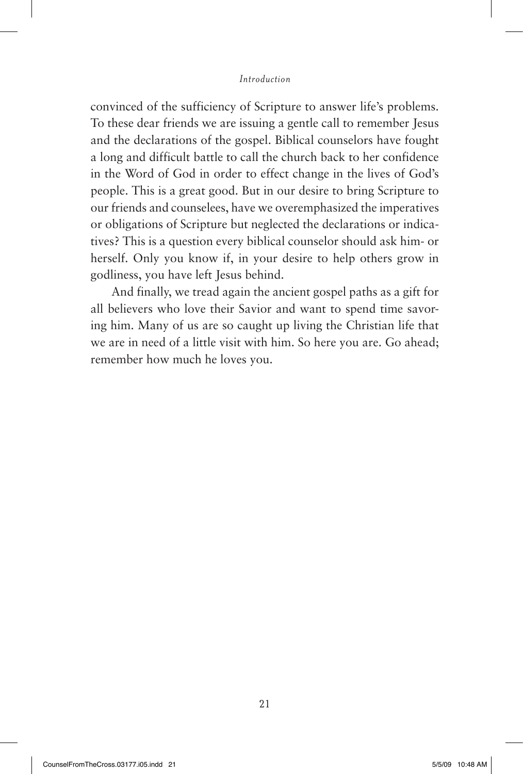#### *Introduction*

convinced of the sufficiency of Scripture to answer life's problems. To these dear friends we are issuing a gentle call to remember Jesus and the declarations of the gospel. Biblical counselors have fought a long and difficult battle to call the church back to her confidence in the Word of God in order to effect change in the lives of God's people. This is a great good. But in our desire to bring Scripture to our friends and counselees, have we overemphasized the imperatives or obligations of Scripture but neglected the declarations or indicatives? This is a question every biblical counselor should ask him- or herself. Only you know if, in your desire to help others grow in godliness, you have left Jesus behind.

And finally, we tread again the ancient gospel paths as a gift for all believers who love their Savior and want to spend time savoring him. Many of us are so caught up living the Christian life that we are in need of a little visit with him. So here you are. Go ahead; remember how much he loves you.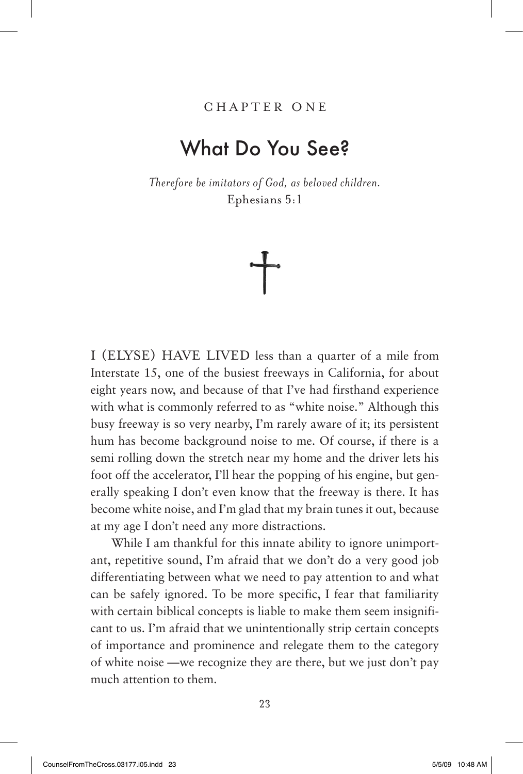#### C H A P T E R O N E

# What Do You See?

*Therefore be imitators of God, as beloved children.* Ephesians 5:1



I (ELYSE) HAVE LIVED less than a quarter of a mile from Interstate 15, one of the busiest freeways in California, for about eight years now, and because of that I've had firsthand experience with what is commonly referred to as "white noise." Although this busy freeway is so very nearby, I'm rarely aware of it; its persistent hum has become background noise to me. Of course, if there is a semi rolling down the stretch near my home and the driver lets his foot off the accelerator, I'll hear the popping of his engine, but generally speaking I don't even know that the freeway is there. It has become white noise, and I'm glad that my brain tunes it out, because at my age I don't need any more distractions.

While I am thankful for this innate ability to ignore unimportant, repetitive sound, I'm afraid that we don't do a very good job differentiating between what we need to pay attention to and what can be safely ignored. To be more specific, I fear that familiarity with certain biblical concepts is liable to make them seem insignificant to us. I'm afraid that we unintentionally strip certain concepts of importance and prominence and relegate them to the category of white noise —we recognize they are there, but we just don't pay much attention to them.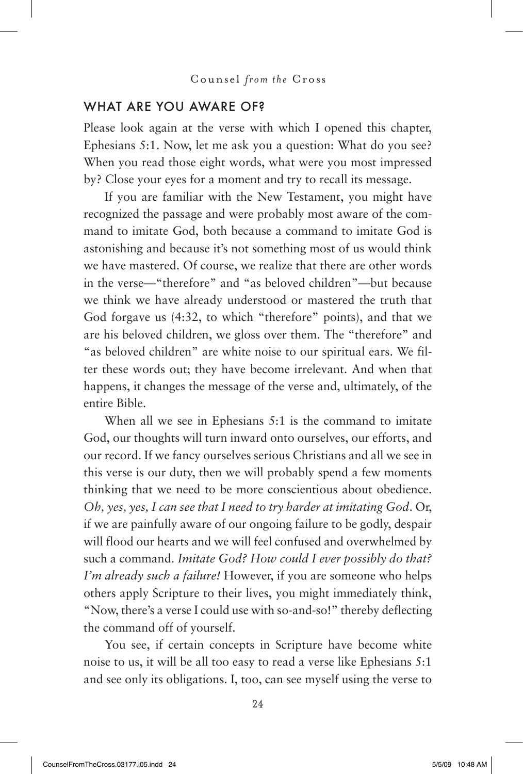### WHAT ARE YOU AWARE OF?

Please look again at the verse with which I opened this chapter, Ephesians 5:1. Now, let me ask you a question: What do you see? When you read those eight words, what were you most impressed by? Close your eyes for a moment and try to recall its message.

If you are familiar with the New Testament, you might have recognized the passage and were probably most aware of the command to imitate God, both because a command to imitate God is astonishing and because it's not something most of us would think we have mastered. Of course, we realize that there are other words in the verse—"therefore" and "as beloved children"—but because we think we have already understood or mastered the truth that God forgave us (4:32, to which "therefore" points), and that we are his beloved children, we gloss over them. The "therefore" and "as beloved children" are white noise to our spiritual ears. We filter these words out; they have become irrelevant. And when that happens, it changes the message of the verse and, ultimately, of the entire Bible.

When all we see in Ephesians 5:1 is the command to imitate God, our thoughts will turn inward onto ourselves, our efforts, and our record. If we fancy ourselves serious Christians and all we see in this verse is our duty, then we will probably spend a few moments thinking that we need to be more conscientious about obedience. *Oh, yes, yes, I can see that I need to try harder at imitating God*. Or, if we are painfully aware of our ongoing failure to be godly, despair will flood our hearts and we will feel confused and overwhelmed by such a command. *Imitate God? How could I ever possibly do that? I'm already such a failure!* However, if you are someone who helps others apply Scripture to their lives, you might immediately think, "Now, there's a verse I could use with so-and-so!" thereby deflecting the command off of yourself.

You see, if certain concepts in Scripture have become white noise to us, it will be all too easy to read a verse like Ephesians 5:1 and see only its obligations. I, too, can see myself using the verse to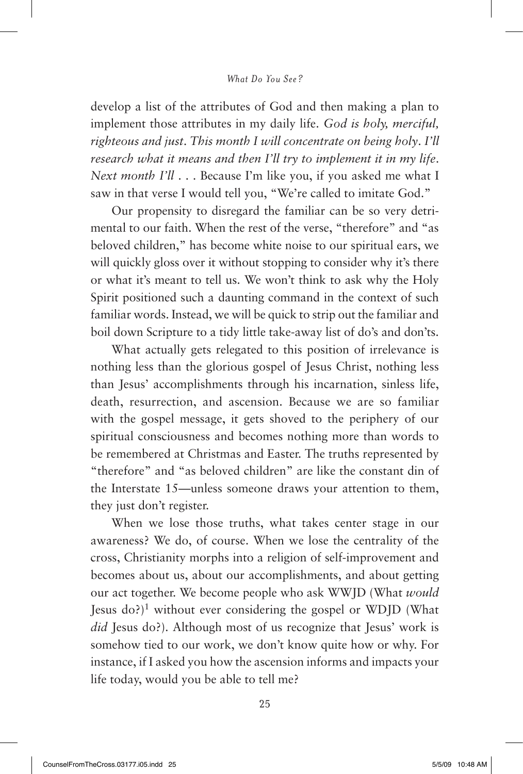#### *What Do You See?*

develop a list of the attributes of God and then making a plan to implement those attributes in my daily life. *God is holy, merciful, righteous and just*. *This month I will concentrate on being holy*. *I'll research what it means and then I'll try to implement it in my life*. *Next month I'll* . . . Because I'm like you, if you asked me what I saw in that verse I would tell you, "We're called to imitate God."

Our propensity to disregard the familiar can be so very detrimental to our faith. When the rest of the verse, "therefore" and "as beloved children," has become white noise to our spiritual ears, we will quickly gloss over it without stopping to consider why it's there or what it's meant to tell us. We won't think to ask why the Holy Spirit positioned such a daunting command in the context of such familiar words. Instead, we will be quick to strip out the familiar and boil down Scripture to a tidy little take-away list of do's and don'ts.

What actually gets relegated to this position of irrelevance is nothing less than the glorious gospel of Jesus Christ, nothing less than Jesus' accomplishments through his incarnation, sinless life, death, resurrection, and ascension. Because we are so familiar with the gospel message, it gets shoved to the periphery of our spiritual consciousness and becomes nothing more than words to be remembered at Christmas and Easter. The truths represented by "therefore" and "as beloved children" are like the constant din of the Interstate 15—unless someone draws your attention to them, they just don't register.

When we lose those truths, what takes center stage in our awareness? We do, of course. When we lose the centrality of the cross, Christianity morphs into a religion of self-improvement and becomes about us, about our accomplishments, and about getting our act together. We become people who ask WWJD (What *would*  Jesus do?)<sup>1</sup> without ever considering the gospel or WDJD (What *did* Jesus do?). Although most of us recognize that Jesus' work is somehow tied to our work, we don't know quite how or why. For instance, if I asked you how the ascension informs and impacts your life today, would you be able to tell me?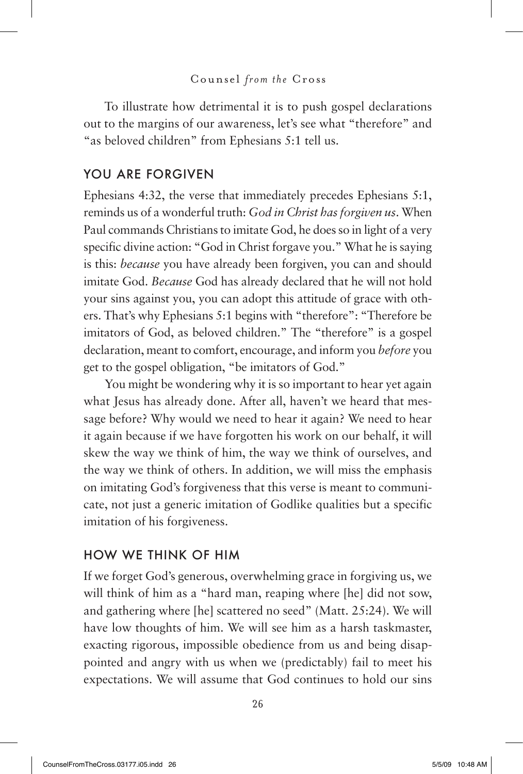#### Counsel *from the* Cross

To illustrate how detrimental it is to push gospel declarations out to the margins of our awareness, let's see what "therefore" and "as beloved children" from Ephesians 5:1 tell us.

### YOU ARE FORGIVEN

Ephesians 4:32, the verse that immediately precedes Ephesians 5:1, reminds us of a wonderful truth: *God in Christ has forgiven us*. When Paul commands Christians to imitate God, he does so in light of a very specific divine action: "God in Christ forgave you." What he is saying is this: *because* you have already been forgiven, you can and should imitate God. *Because* God has already declared that he will not hold your sins against you, you can adopt this attitude of grace with others. That's why Ephesians 5:1 begins with "therefore": "Therefore be imitators of God, as beloved children." The "therefore" is a gospel declaration, meant to comfort, encourage, and inform you *before* you get to the gospel obligation, "be imitators of God."

You might be wondering why it is so important to hear yet again what Jesus has already done. After all, haven't we heard that message before? Why would we need to hear it again? We need to hear it again because if we have forgotten his work on our behalf, it will skew the way we think of him, the way we think of ourselves, and the way we think of others. In addition, we will miss the emphasis on imitating God's forgiveness that this verse is meant to communicate, not just a generic imitation of Godlike qualities but a specific imitation of his forgiveness.

#### HOW WE THINK OF HIM

If we forget God's generous, overwhelming grace in forgiving us, we will think of him as a "hard man, reaping where [he] did not sow, and gathering where [he] scattered no seed" (Matt. 25:24). We will have low thoughts of him. We will see him as a harsh taskmaster, exacting rigorous, impossible obedience from us and being disappointed and angry with us when we (predictably) fail to meet his expectations. We will assume that God continues to hold our sins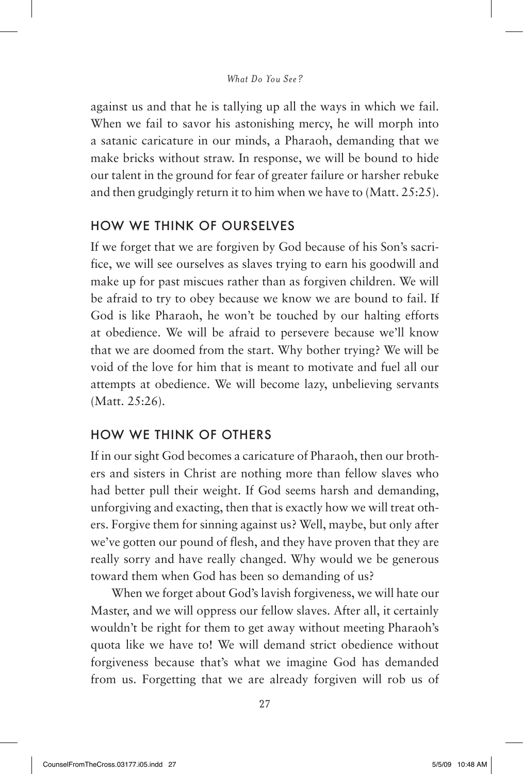against us and that he is tallying up all the ways in which we fail. When we fail to savor his astonishing mercy, he will morph into a satanic caricature in our minds, a Pharaoh, demanding that we make bricks without straw. In response, we will be bound to hide our talent in the ground for fear of greater failure or harsher rebuke and then grudgingly return it to him when we have to (Matt. 25:25).

#### HOW WE THINK OF OURSELVES

If we forget that we are forgiven by God because of his Son's sacrifice, we will see ourselves as slaves trying to earn his goodwill and make up for past miscues rather than as forgiven children. We will be afraid to try to obey because we know we are bound to fail. If God is like Pharaoh, he won't be touched by our halting efforts at obedience. We will be afraid to persevere because we'll know that we are doomed from the start. Why bother trying? We will be void of the love for him that is meant to motivate and fuel all our attempts at obedience. We will become lazy, unbelieving servants (Matt. 25:26).

### HOW WE THINK OF OTHERS

If in our sight God becomes a caricature of Pharaoh, then our brothers and sisters in Christ are nothing more than fellow slaves who had better pull their weight. If God seems harsh and demanding, unforgiving and exacting, then that is exactly how we will treat others. Forgive them for sinning against us? Well, maybe, but only after we've gotten our pound of flesh, and they have proven that they are really sorry and have really changed. Why would we be generous toward them when God has been so demanding of us?

When we forget about God's lavish forgiveness, we will hate our Master, and we will oppress our fellow slaves. After all, it certainly wouldn't be right for them to get away without meeting Pharaoh's quota like we have to! We will demand strict obedience without forgiveness because that's what we imagine God has demanded from us. Forgetting that we are already forgiven will rob us of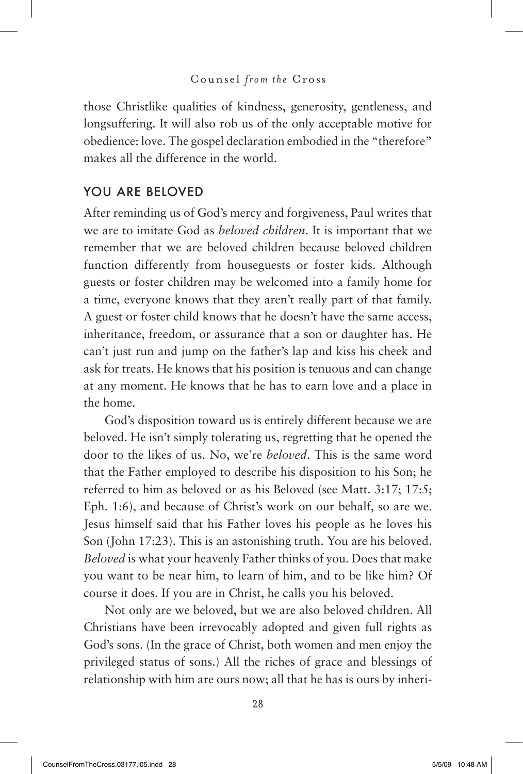those Christlike qualities of kindness, generosity, gentleness, and longsuffering. It will also rob us of the only acceptable motive for obedience: love. The gospel declaration embodied in the "therefore" makes all the difference in the world.

## YOU ARE BELOVED

After reminding us of God's mercy and forgiveness, Paul writes that we are to imitate God as *beloved children*. It is important that we remember that we are beloved children because beloved children function differently from houseguests or foster kids. Although guests or foster children may be welcomed into a family home for a time, everyone knows that they aren't really part of that family. A guest or foster child knows that he doesn't have the same access, inheritance, freedom, or assurance that a son or daughter has. He can't just run and jump on the father's lap and kiss his cheek and ask for treats. He knows that his position is tenuous and can change at any moment. He knows that he has to earn love and a place in the home.

God's disposition toward us is entirely different because we are beloved. He isn't simply tolerating us, regretting that he opened the door to the likes of us. No, we're *beloved*. This is the same word that the Father employed to describe his disposition to his Son; he referred to him as beloved or as his Beloved (see Matt. 3:17; 17:5; Eph. 1:6), and because of Christ's work on our behalf, so are we. Jesus himself said that his Father loves his people as he loves his Son (John 17:23). This is an astonishing truth. You are his beloved. *Beloved* is what your heavenly Father thinks of you. Does that make you want to be near him, to learn of him, and to be like him? Of course it does. If you are in Christ, he calls you his beloved.

Not only are we beloved, but we are also beloved children. All Christians have been irrevocably adopted and given full rights as God's sons. (In the grace of Christ, both women and men enjoy the privileged status of sons.) All the riches of grace and blessings of relationship with him are ours now; all that he has is ours by inheri-